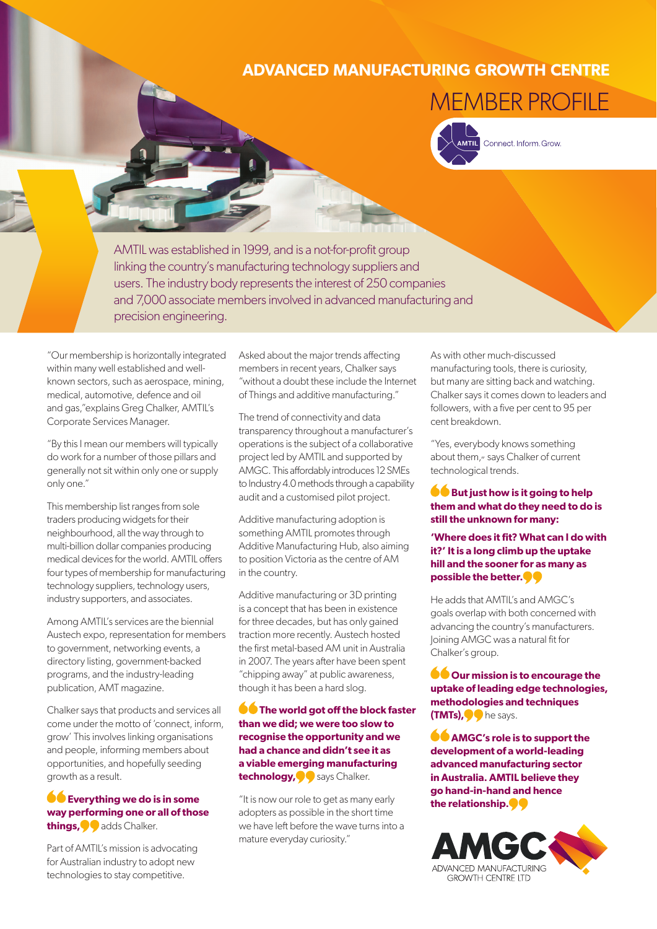## **ADVANCED MANUFACTURING GROWTH CENTRE**

## MEMBER PROFILE



Connect. Inform. Grow.

AMTIL was established in 1999, and is a not-for-profit group linking the country's manufacturing technology suppliers and users. The industry body represents the interest of 250 companies and 7,000 associate members involved in advanced manufacturing and precision engineering.

"Our membership is horizontally integrated within many well established and wellknown sectors, such as aerospace, mining, medical, automotive, defence and oil and gas,"explains Greg Chalker, AMTIL's Corporate Services Manager.

"By this I mean our members will typically do work for a number of those pillars and generally not sit within only one or supply only one."

This membership list ranges from sole traders producing widgets for their neighbourhood, all the way through to multi-billion dollar companies producing medical devices for the world. AMTIL offers four types of membership for manufacturing technology suppliers, technology users, industry supporters, and associates.

Among AMTIL's services are the biennial Austech expo, representation for members to government, networking events, a directory listing, government-backed programs, and the industry-leading publication, AMT magazine.

Chalker says that products and services all come under the motto of 'connect, inform, grow' This involves linking organisations and people, informing members about opportunities, and hopefully seeding growth as a result.

## **C** Everything we do is in some **way performing one or all of those things,** adds Chalker.

Part of AMTIL's mission is advocating for Australian industry to adopt new technologies to stay competitive.

Asked about the major trends affecting members in recent years, Chalker says "without a doubt these include the Internet of Things and additive manufacturing."

The trend of connectivity and data transparency throughout a manufacturer's operations is the subject of a collaborative project led by AMTIL and supported by AMGC. This affordably introduces 12 SMEs to Industry 4.0 methods through a capability audit and a customised pilot project.

Additive manufacturing adoption is something AMTIL promotes through Additive Manufacturing Hub, also aiming to position Victoria as the centre of AM in the country.

Additive manufacturing or 3D printing is a concept that has been in existence for three decades, but has only gained traction more recently. Austech hosted the first metal-based AM unit in Australia in 2007. The years after have been spent "chipping away" at public awareness, though it has been a hard slog.

**The world got off the block faster than we did; we were too slow to recognise the opportunity and we had a chance and didn't see it as a viable emerging manufacturing technology,** says Chalker.

"It is now our role to get as many early adopters as possible in the short time we have left before the wave turns into a mature everyday curiosity."

As with other much-discussed manufacturing tools, there is curiosity, but many are sitting back and watching. Chalker says it comes down to leaders and followers, with a five per cent to 95 per cent breakdown.

"Yes, everybody knows something about them," says Chalker of current technological trends.

## **But just how is it going to help them and what do they need to do is still the unknown for many:**

**'Where does it fit? What can I do with it?' It is a long climb up the uptake hill and the sooner for as many as possible the better.**

He adds that AMTIL's and AMGC's goals overlap with both concerned with advancing the country's manufacturers. Joining AMGC was a natural fit for Chalker's group.

**OOUT mission is to encourage the uptake of leading edge technologies, methodologies and techniques (TMTs),** he says.

**AMGC's role is to support the development of a world-leading advanced manufacturing sector in Australia. AMTIL believe they go hand-in-hand and hence the relationship.**